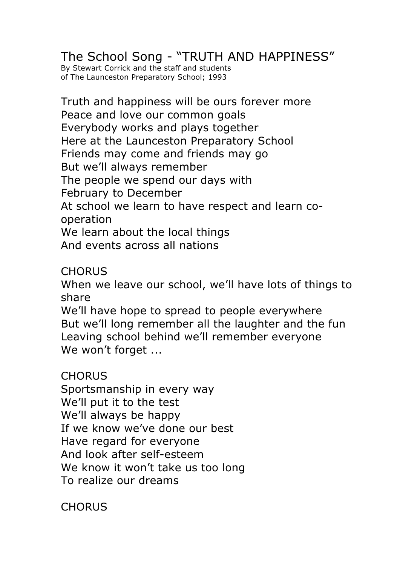## The School Song - "TRUTH AND HAPPINESS"

By Stewart Corrick and the staff and students of The Launceston Preparatory School; 1993

Truth and happiness will be ours forever more Peace and love our common goals Everybody works and plays together Here at the Launceston Preparatory School Friends may come and friends may go But we'll always remember The people we spend our days with February to December At school we learn to have respect and learn cooperation We learn about the local things And events across all nations

## **CHORUS**

When we leave our school, we'll have lots of things to share

We'll have hope to spread to people everywhere But we'll long remember all the laughter and the fun Leaving school behind we'll remember everyone We won't forget ...

## **CHORUS**

Sportsmanship in every way We'll put it to the test We'll always be happy If we know we've done our best Have regard for everyone And look after self-esteem We know it won't take us too long To realize our dreams

**CHORUS**